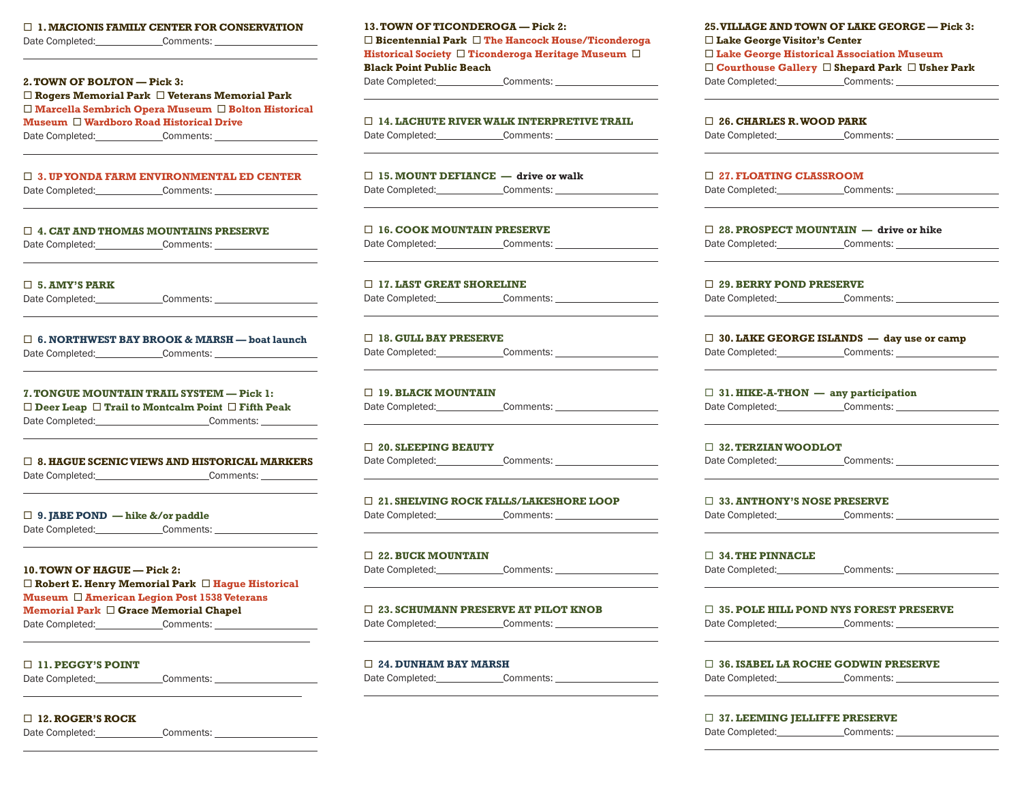¨ **1. MACIONIS FAMILY CENTER FOR CONSERVATION**

Date Completed: Comments:

 $\overline{a}$ 

 $\overline{a}$ 

 $\overline{a}$ 

 $\overline{a}$ 

 $\overline{a}$ 

 $\overline{a}$ 

 $\overline{a}$ 

 $\overline{a}$ 

 $\overline{a}$ 

 $\overline{a}$ 

 $\overline{a}$ 

### **2. TOWN OF BOLTON — Pick 3:**

¨ **Rogers Memorial Park** ¨ **Veterans Memorial Park** □ Marcella Sembrich Opera Museum □ Bolton Historical **Museum □ Wardboro Road Historical Drive** Date Completed: Comments:

 $\overline{a}$ 

### ¨ **3. UP YONDA FARM ENVIRONMENTAL ED CENTER**

Date Completed: Comments: Comments:

## ¨ **4. CAT AND THOMAS MOUNTAINS PRESERVE**

Date Completed: Comments:

¨ **5. AMY'S PARK**

Date Completed: Comments: Comments:

### ¨ **6. NORTHWEST BAY BROOK & MARSH — boat launch** Date Completed: Comments:

**7. TONGUE MOUNTAIN TRAIL SYSTEM — Pick 1:** 

¨ **Deer Leap** ¨ **Trail to Montcalm Point** ¨ **Fifth Peak**  Date Completed: Comments:

### ¨ **8. HAGUE SCENIC VIEWS AND HISTORICAL MARKERS**

Date Completed: Comments:

¨ **9. JABE POND — hike &/or paddle** Date Completed: Comments:

**10. TOWN OF HAGUE — Pick 2:** ¨ **Robert E. Henry Memorial Park** ¨ **Hague Historical Museum** ¨ **American Legion Post 1538 Veterans Memorial Park** ¨ **Grace Memorial Chapel**

Date Completed: Comments:

### ¨ **11. PEGGY'S POINT**

Date Completed: Comments:

¨ **12. ROGER'S ROCK**

Date Completed: Comments: Comments:

**13. TOWN OF TICONDEROGA — Pick 2:** ¨ **Bicentennial Park** ¨ **The Hancock House/Ticonderoga Historical Society □ Ticonderoga Heritage Museum □ Black Point Public Beach** Date Completed: Comments:

¨ **14. LACHUTE RIVER WALK INTERPRETIVE TRAIL** Date Completed: Comments:

 $\overline{a}$ 

 $\overline{a}$ 

 $\overline{a}$ 

 $\overline{a}$ 

 $\overline{a}$ 

 $\overline{a}$ 

 $\overline{a}$ 

 $\overline{a}$ 

 $\overline{a}$ 

 $\overline{a}$ 

 $\overline{a}$ 

 $\overline{a}$ 

¨ **15. MOUNT DEFIANCE — drive or walk** Date Completed: Comments:

¨ **16. COOK MOUNTAIN PRESERVE** Date Completed: Comments:

□ 17. LAST GREAT SHORELINE Date Completed: Comments:

□ 18. GULL BAY PRESERVE Date Completed: Comments:

□ 19. BLACK MOUNTAIN Date Completed: Comments:

¨ **20. SLEEPING BEAUTY** Date Completed: Comments:

¨ **21. SHELVING ROCK FALLS/LAKESHORE LOOP** Date Completed: Comments:

¨ **22. BUCK MOUNTAIN** Date Completed: Comments:

¨ **23. SCHUMANN PRESERVE AT PILOT KNOB**

Date Completed: Comments:

### ¨ **24. DUNHAM BAY MARSH**

Date Completed: Comments:

**25. VILLAGE AND TOWN OF LAKE GEORGE — Pick 3:**  ¨ **Lake George Visitor's Center** ¨ **Lake George Historical Association Museum**  ¨ **Courthouse Gallery** ¨ **Shepard Park** ¨ **Usher Park** Date Completed: Comments:

# $\overline{a}$ ¨ **26. CHARLES R. WOOD PARK** Date Completed: Comments:  $\overline{a}$ ¨ **27. FLOATING CLASSROOM** Date Completed: Comments:  $\overline{a}$ ¨ **28. PROSPECT MOUNTAIN — drive or hike** Date Completed: Comments:  $\overline{a}$ □ 29. BERRY POND PRESERVE Date Completed: Comments:  $\overline{a}$ ¨ **30. LAKE GEORGE ISLANDS — day use or camp** Date Completed: Comments:  $\overline{a}$ ¨ **31. HIKE-A-THON — any participation** Date Completed: Comments: Comments:  $\overline{a}$ ¨ **32. TERZIAN WOODLOT** Date Completed: Comments:  $\overline{a}$ ¨ **33. ANTHONY'S NOSE PRESERVE** Date Completed: Comments:  $\overline{a}$ ¨ **34. THE PINNACLE**  Date Completed: Comments:  $\overline{a}$ ¨ **35. POLE HILL POND NYS FOREST PRESERVE** Date Completed: Comments:  $\overline{a}$ ¨ **36. ISABEL LA ROCHE GODWIN PRESERVE** Date Completed: Comments: Comments:  $\overline{a}$

¨ **37. LEEMING JELLIFFE PRESERVE**

Date Completed: Comments:

 $\overline{a}$